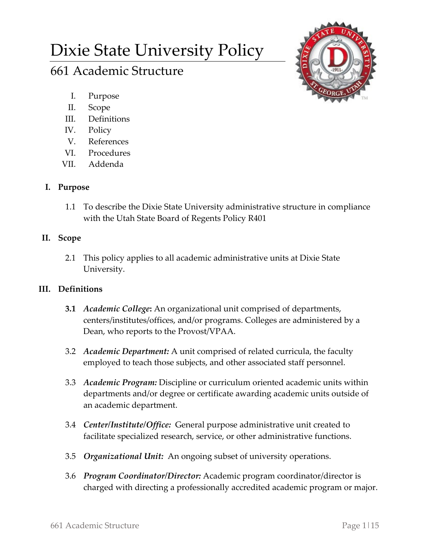# Dixie State University Policy

## 661 Academic Structure

- I. Purpose
- II. Scope
- III. Definitions
- IV. Policy
- V. References
- VI. Procedures
- VII. Addenda

## **I. Purpose**

1.1 To describe the Dixie State University administrative structure in compliance with the Utah State Board of Regents Policy R401

## **II. Scope**

2.1 This policy applies to all academic administrative units at Dixie State University.

### **III. Definitions**

- **3.1** *Academic College***:** An organizational unit comprised of departments, centers/institutes/offices, and/or programs. Colleges are administered by a Dean, who reports to the Provost/VPAA.
- 3.2 *Academic Department:* A unit comprised of related curricula, the faculty employed to teach those subjects, and other associated staff personnel.
- 3.3 *Academic Program:* Discipline or curriculum oriented academic units within departments and/or degree or certificate awarding academic units outside of an academic department.
- 3.4 *Center/Institute/Office:* General purpose administrative unit created to facilitate specialized research, service, or other administrative functions.
- 3.5 *Organizational Unit:* An ongoing subset of university operations.
- 3.6 *Program Coordinator/Director:* Academic program coordinator/director is charged with directing a professionally accredited academic program or major.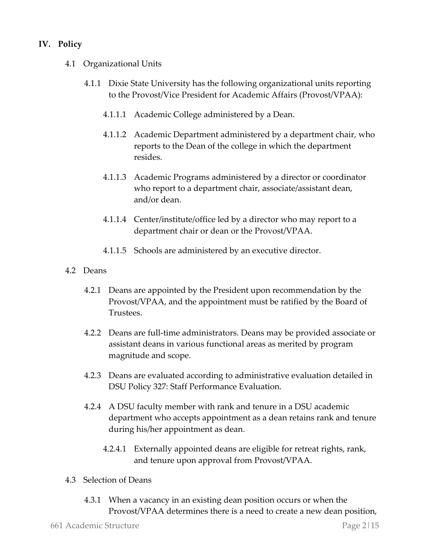#### **IV. Policy**

- 4.1 Organizational Units
	- 4.1.1 Dixie State University has the following organizational units reporting to the Provost/Vice President for Academic Affairs (Provost/VPAA):
		- 4.1.1.1 Academic College administered by a Dean.
		- 4.1.1.2 Academic Department administered by a department chair, who reports to the Dean of the college in which the department resides.
		- 4.1.1.3 Academic Programs administered by a director or coordinator who report to a department chair, associate/assistant dean, and/or dean.
		- 4.1.1.4 Center/institute/office led by a director who may report to a department chair or dean or the Provost/VPAA.
		- 4.1.1.5 Schools are administered by an executive director.
- 4.2 Deans
	- 4.2.1 Deans are appointed by the President upon recommendation by the Provost/VPAA, and the appointment must be ratified by the Board of Trustees.
	- 4.2.2 Deans are full-time administrators. Deans may be provided associate or assistant deans in various functional areas as merited by program magnitude and scope.
	- 4.2.3 Deans are evaluated according to administrative evaluation detailed in DSU Policy 327: Staff Performance Evaluation.
	- 4.2.4 A DSU faculty member with rank and tenure in a DSU academic department who accepts appointment as a dean retains rank and tenure during his/her appointment as dean.
		- 4.2.4.1 Externally appointed deans are eligible for retreat rights, rank, and tenure upon approval from Provost/VPAA.
- 4.3 Selection of Deans
	- 4.3.1 When a vacancy in an existing dean position occurs or when the Provost/VPAA determines there is a need to create a new dean position,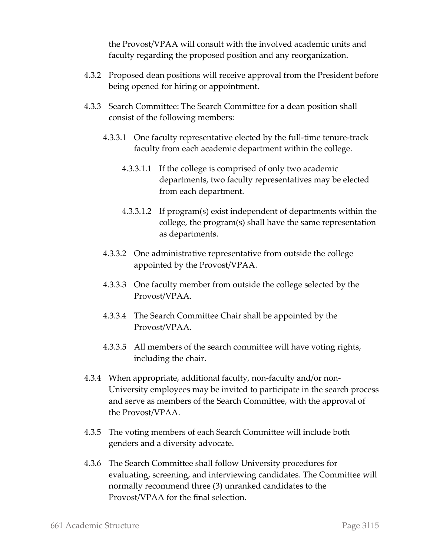the Provost/VPAA will consult with the involved academic units and faculty regarding the proposed position and any reorganization.

- 4.3.2 Proposed dean positions will receive approval from the President before being opened for hiring or appointment.
- 4.3.3 Search Committee: The Search Committee for a dean position shall consist of the following members:
	- 4.3.3.1 One faculty representative elected by the full-time tenure-track faculty from each academic department within the college.
		- 4.3.3.1.1 If the college is comprised of only two academic departments, two faculty representatives may be elected from each department.
		- 4.3.3.1.2 If program(s) exist independent of departments within the college, the program(s) shall have the same representation as departments.
	- 4.3.3.2 One administrative representative from outside the college appointed by the Provost/VPAA.
	- 4.3.3.3 One faculty member from outside the college selected by the Provost/VPAA.
	- 4.3.3.4 The Search Committee Chair shall be appointed by the Provost/VPAA.
	- 4.3.3.5 All members of the search committee will have voting rights, including the chair.
- 4.3.4 When appropriate, additional faculty, non-faculty and/or non-University employees may be invited to participate in the search process and serve as members of the Search Committee, with the approval of the Provost/VPAA.
- 4.3.5 The voting members of each Search Committee will include both genders and a diversity advocate.
- 4.3.6 The Search Committee shall follow University procedures for evaluating, screening, and interviewing candidates. The Committee will normally recommend three (3) unranked candidates to the Provost/VPAA for the final selection.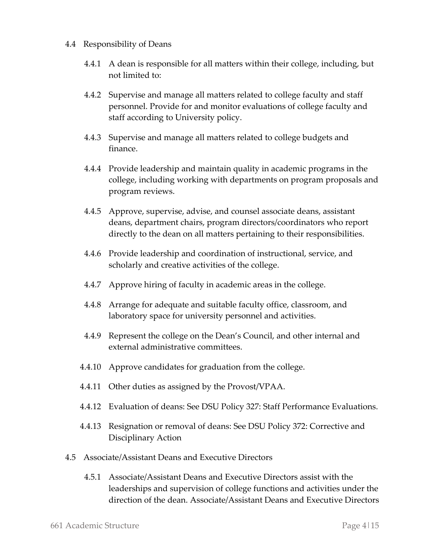- 4.4 Responsibility of Deans
	- 4.4.1 A dean is responsible for all matters within their college, including, but not limited to:
	- 4.4.2 Supervise and manage all matters related to college faculty and staff personnel. Provide for and monitor evaluations of college faculty and staff according to University policy.
	- 4.4.3 Supervise and manage all matters related to college budgets and finance.
	- 4.4.4 Provide leadership and maintain quality in academic programs in the college, including working with departments on program proposals and program reviews.
	- 4.4.5 Approve, supervise, advise, and counsel associate deans, assistant deans, department chairs, program directors/coordinators who report directly to the dean on all matters pertaining to their responsibilities.
	- 4.4.6 Provide leadership and coordination of instructional, service, and scholarly and creative activities of the college.
	- 4.4.7 Approve hiring of faculty in academic areas in the college.
	- 4.4.8 Arrange for adequate and suitable faculty office, classroom, and laboratory space for university personnel and activities.
	- 4.4.9 Represent the college on the Dean's Council, and other internal and external administrative committees.
	- 4.4.10 Approve candidates for graduation from the college.
	- 4.4.11 Other duties as assigned by the Provost/VPAA.
	- 4.4.12 Evaluation of deans: See DSU Policy 327: Staff Performance Evaluations.
	- 4.4.13 Resignation or removal of deans: See DSU Policy 372: Corrective and Disciplinary Action
- 4.5 Associate/Assistant Deans and Executive Directors
	- 4.5.1 Associate/Assistant Deans and Executive Directors assist with the leaderships and supervision of college functions and activities under the direction of the dean. Associate/Assistant Deans and Executive Directors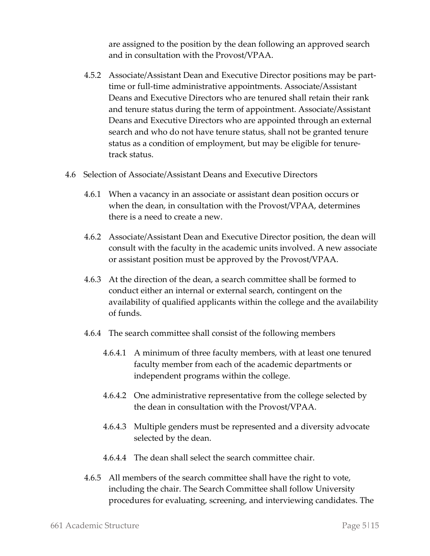are assigned to the position by the dean following an approved search and in consultation with the Provost/VPAA.

- 4.5.2 Associate/Assistant Dean and Executive Director positions may be parttime or full-time administrative appointments. Associate/Assistant Deans and Executive Directors who are tenured shall retain their rank and tenure status during the term of appointment. Associate/Assistant Deans and Executive Directors who are appointed through an external search and who do not have tenure status, shall not be granted tenure status as a condition of employment, but may be eligible for tenuretrack status.
- 4.6 Selection of Associate/Assistant Deans and Executive Directors
	- 4.6.1 When a vacancy in an associate or assistant dean position occurs or when the dean, in consultation with the Provost/VPAA, determines there is a need to create a new.
	- 4.6.2 Associate/Assistant Dean and Executive Director position, the dean will consult with the faculty in the academic units involved. A new associate or assistant position must be approved by the Provost/VPAA.
	- 4.6.3 At the direction of the dean, a search committee shall be formed to conduct either an internal or external search, contingent on the availability of qualified applicants within the college and the availability of funds.
	- 4.6.4 The search committee shall consist of the following members
		- 4.6.4.1 A minimum of three faculty members, with at least one tenured faculty member from each of the academic departments or independent programs within the college.
		- 4.6.4.2 One administrative representative from the college selected by the dean in consultation with the Provost/VPAA.
		- 4.6.4.3 Multiple genders must be represented and a diversity advocate selected by the dean.
		- 4.6.4.4 The dean shall select the search committee chair.
	- 4.6.5 All members of the search committee shall have the right to vote, including the chair. The Search Committee shall follow University procedures for evaluating, screening, and interviewing candidates. The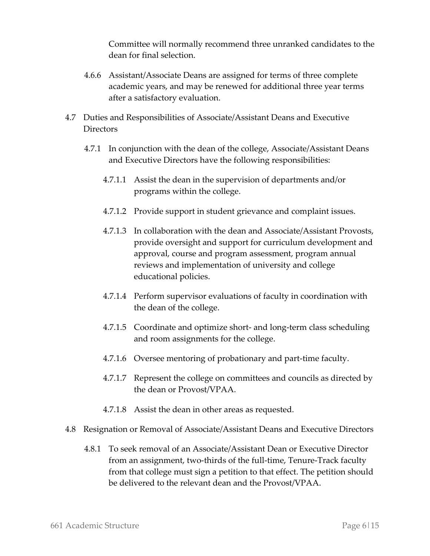Committee will normally recommend three unranked candidates to the dean for final selection.

- 4.6.6 Assistant/Associate Deans are assigned for terms of three complete academic years, and may be renewed for additional three year terms after a satisfactory evaluation.
- 4.7 Duties and Responsibilities of Associate/Assistant Deans and Executive **Directors** 
	- 4.7.1 In conjunction with the dean of the college, Associate/Assistant Deans and Executive Directors have the following responsibilities:
		- 4.7.1.1 Assist the dean in the supervision of departments and/or programs within the college.
		- 4.7.1.2 Provide support in student grievance and complaint issues.
		- 4.7.1.3 In collaboration with the dean and Associate/Assistant Provosts, provide oversight and support for curriculum development and approval, course and program assessment, program annual reviews and implementation of university and college educational policies.
		- 4.7.1.4 Perform supervisor evaluations of faculty in coordination with the dean of the college.
		- 4.7.1.5 Coordinate and optimize short- and long-term class scheduling and room assignments for the college.
		- 4.7.1.6 Oversee mentoring of probationary and part-time faculty.
		- 4.7.1.7 Represent the college on committees and councils as directed by the dean or Provost/VPAA.
		- 4.7.1.8 Assist the dean in other areas as requested.
- 4.8 Resignation or Removal of Associate/Assistant Deans and Executive Directors
	- 4.8.1 To seek removal of an Associate/Assistant Dean or Executive Director from an assignment, two-thirds of the full-time, Tenure-Track faculty from that college must sign a petition to that effect. The petition should be delivered to the relevant dean and the Provost/VPAA.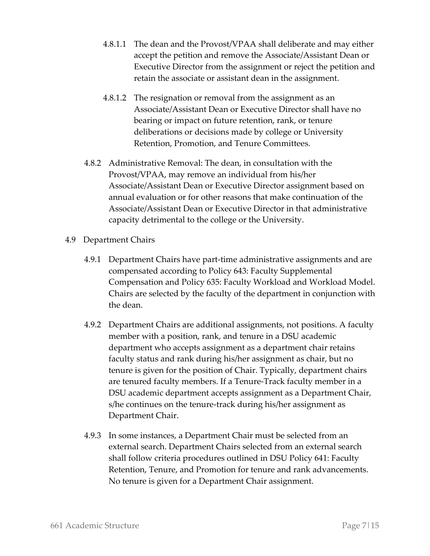- 4.8.1.1 The dean and the Provost/VPAA shall deliberate and may either accept the petition and remove the Associate/Assistant Dean or Executive Director from the assignment or reject the petition and retain the associate or assistant dean in the assignment.
- 4.8.1.2 The resignation or removal from the assignment as an Associate/Assistant Dean or Executive Director shall have no bearing or impact on future retention, rank, or tenure deliberations or decisions made by college or University Retention, Promotion, and Tenure Committees.
- 4.8.2 Administrative Removal: The dean, in consultation with the Provost/VPAA, may remove an individual from his/her Associate/Assistant Dean or Executive Director assignment based on annual evaluation or for other reasons that make continuation of the Associate/Assistant Dean or Executive Director in that administrative capacity detrimental to the college or the University.
- 4.9 Department Chairs
	- 4.9.1 Department Chairs have part-time administrative assignments and are compensated according to Policy 643: Faculty Supplemental Compensation and Policy 635: Faculty Workload and Workload Model. Chairs are selected by the faculty of the department in conjunction with the dean.
	- 4.9.2 Department Chairs are additional assignments, not positions. A faculty member with a position, rank, and tenure in a DSU academic department who accepts assignment as a department chair retains faculty status and rank during his/her assignment as chair, but no tenure is given for the position of Chair. Typically, department chairs are tenured faculty members. If a Tenure-Track faculty member in a DSU academic department accepts assignment as a Department Chair, s/he continues on the tenure-track during his/her assignment as Department Chair.
	- 4.9.3 In some instances, a Department Chair must be selected from an external search. Department Chairs selected from an external search shall follow criteria procedures outlined in DSU Policy 641: Faculty Retention, Tenure, and Promotion for tenure and rank advancements. No tenure is given for a Department Chair assignment.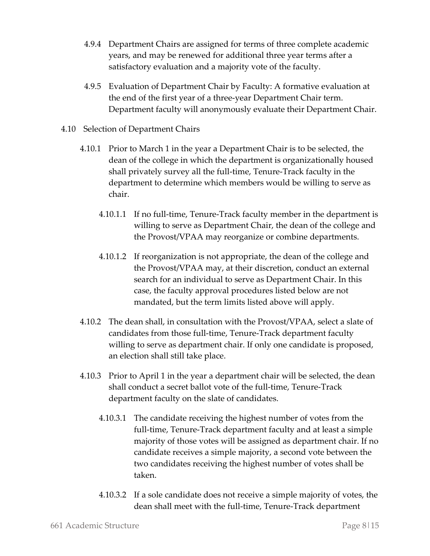- 4.9.4 Department Chairs are assigned for terms of three complete academic years, and may be renewed for additional three year terms after a satisfactory evaluation and a majority vote of the faculty.
- 4.9.5 Evaluation of Department Chair by Faculty: A formative evaluation at the end of the first year of a three-year Department Chair term. Department faculty will anonymously evaluate their Department Chair.
- 4.10 Selection of Department Chairs
	- 4.10.1 Prior to March 1 in the year a Department Chair is to be selected, the dean of the college in which the department is organizationally housed shall privately survey all the full-time, Tenure-Track faculty in the department to determine which members would be willing to serve as chair.
		- 4.10.1.1 If no full-time, Tenure-Track faculty member in the department is willing to serve as Department Chair, the dean of the college and the Provost/VPAA may reorganize or combine departments.
		- 4.10.1.2 If reorganization is not appropriate, the dean of the college and the Provost/VPAA may, at their discretion, conduct an external search for an individual to serve as Department Chair. In this case, the faculty approval procedures listed below are not mandated, but the term limits listed above will apply.
	- 4.10.2 The dean shall, in consultation with the Provost/VPAA, select a slate of candidates from those full-time, Tenure-Track department faculty willing to serve as department chair. If only one candidate is proposed, an election shall still take place.
	- 4.10.3 Prior to April 1 in the year a department chair will be selected, the dean shall conduct a secret ballot vote of the full-time, Tenure-Track department faculty on the slate of candidates.
		- 4.10.3.1 The candidate receiving the highest number of votes from the full-time, Tenure-Track department faculty and at least a simple majority of those votes will be assigned as department chair. If no candidate receives a simple majority, a second vote between the two candidates receiving the highest number of votes shall be taken.
		- 4.10.3.2 If a sole candidate does not receive a simple majority of votes, the dean shall meet with the full-time, Tenure-Track department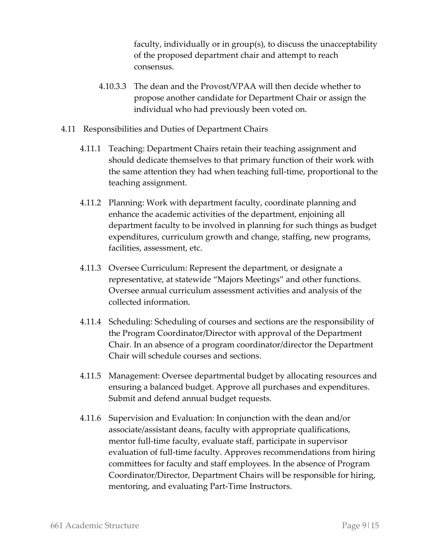faculty, individually or in group(s), to discuss the unacceptability of the proposed department chair and attempt to reach consensus.

- 4.10.3.3 The dean and the Provost/VPAA will then decide whether to propose another candidate for Department Chair or assign the individual who had previously been voted on.
- 4.11 Responsibilities and Duties of Department Chairs
	- 4.11.1 Teaching: Department Chairs retain their teaching assignment and should dedicate themselves to that primary function of their work with the same attention they had when teaching full-time, proportional to the teaching assignment.
	- 4.11.2 Planning: Work with department faculty, coordinate planning and enhance the academic activities of the department, enjoining all department faculty to be involved in planning for such things as budget expenditures, curriculum growth and change, staffing, new programs, facilities, assessment, etc.
	- 4.11.3 Oversee Curriculum: Represent the department, or designate a representative, at statewide "Majors Meetings" and other functions. Oversee annual curriculum assessment activities and analysis of the collected information.
	- 4.11.4 Scheduling: Scheduling of courses and sections are the responsibility of the Program Coordinator/Director with approval of the Department Chair. In an absence of a program coordinator/director the Department Chair will schedule courses and sections.
	- 4.11.5 Management: Oversee departmental budget by allocating resources and ensuring a balanced budget. Approve all purchases and expenditures. Submit and defend annual budget requests.
	- 4.11.6 Supervision and Evaluation: In conjunction with the dean and/or associate/assistant deans, faculty with appropriate qualifications, mentor full-time faculty, evaluate staff, participate in supervisor evaluation of full-time faculty. Approves recommendations from hiring committees for faculty and staff employees. In the absence of Program Coordinator/Director, Department Chairs will be responsible for hiring, mentoring, and evaluating Part-Time Instructors.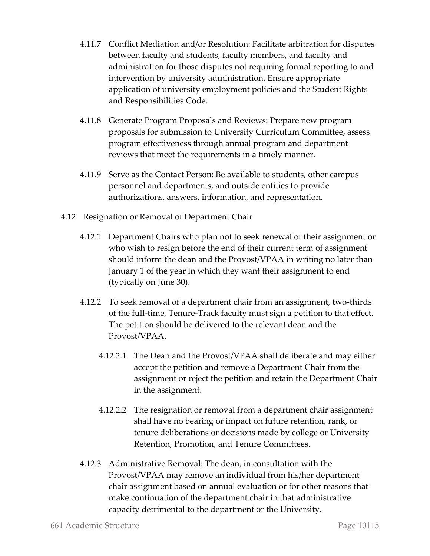- 4.11.7 Conflict Mediation and/or Resolution: Facilitate arbitration for disputes between faculty and students, faculty members, and faculty and administration for those disputes not requiring formal reporting to and intervention by university administration. Ensure appropriate application of university employment policies and the Student Rights and Responsibilities Code.
- 4.11.8 Generate Program Proposals and Reviews: Prepare new program proposals for submission to University Curriculum Committee, assess program effectiveness through annual program and department reviews that meet the requirements in a timely manner.
- 4.11.9 Serve as the Contact Person: Be available to students, other campus personnel and departments, and outside entities to provide authorizations, answers, information, and representation.
- 4.12 Resignation or Removal of Department Chair
	- 4.12.1 Department Chairs who plan not to seek renewal of their assignment or who wish to resign before the end of their current term of assignment should inform the dean and the Provost/VPAA in writing no later than January 1 of the year in which they want their assignment to end (typically on June 30).
	- 4.12.2 To seek removal of a department chair from an assignment, two-thirds of the full-time, Tenure-Track faculty must sign a petition to that effect. The petition should be delivered to the relevant dean and the Provost/VPAA.
		- 4.12.2.1 The Dean and the Provost/VPAA shall deliberate and may either accept the petition and remove a Department Chair from the assignment or reject the petition and retain the Department Chair in the assignment.
		- 4.12.2.2 The resignation or removal from a department chair assignment shall have no bearing or impact on future retention, rank, or tenure deliberations or decisions made by college or University Retention, Promotion, and Tenure Committees.
	- 4.12.3 Administrative Removal: The dean, in consultation with the Provost/VPAA may remove an individual from his/her department chair assignment based on annual evaluation or for other reasons that make continuation of the department chair in that administrative capacity detrimental to the department or the University.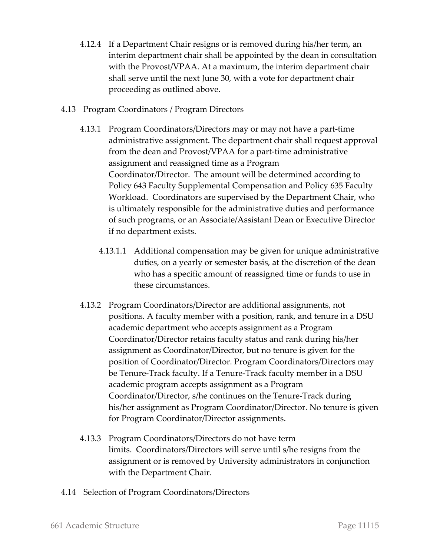- 4.12.4 If a Department Chair resigns or is removed during his/her term, an interim department chair shall be appointed by the dean in consultation with the Provost/VPAA. At a maximum, the interim department chair shall serve until the next June 30, with a vote for department chair proceeding as outlined above.
- 4.13 Program Coordinators / Program Directors
	- 4.13.1 Program Coordinators/Directors may or may not have a part-time administrative assignment. The department chair shall request approval from the dean and Provost/VPAA for a part-time administrative assignment and reassigned time as a Program Coordinator/Director. The amount will be determined according to Policy 643 Faculty Supplemental Compensation and Policy 635 Faculty Workload. Coordinators are supervised by the Department Chair, who is ultimately responsible for the administrative duties and performance of such programs, or an Associate/Assistant Dean or Executive Director if no department exists.
		- 4.13.1.1 Additional compensation may be given for unique administrative duties, on a yearly or semester basis, at the discretion of the dean who has a specific amount of reassigned time or funds to use in these circumstances.
	- 4.13.2 Program Coordinators/Director are additional assignments, not positions. A faculty member with a position, rank, and tenure in a DSU academic department who accepts assignment as a Program Coordinator/Director retains faculty status and rank during his/her assignment as Coordinator/Director, but no tenure is given for the position of Coordinator/Director. Program Coordinators/Directors may be Tenure-Track faculty. If a Tenure-Track faculty member in a DSU academic program accepts assignment as a Program Coordinator/Director, s/he continues on the Tenure-Track during his/her assignment as Program Coordinator/Director. No tenure is given for Program Coordinator/Director assignments.
	- 4.13.3 Program Coordinators/Directors do not have term limits. Coordinators/Directors will serve until s/he resigns from the assignment or is removed by University administrators in conjunction with the Department Chair.
- 4.14 Selection of Program Coordinators/Directors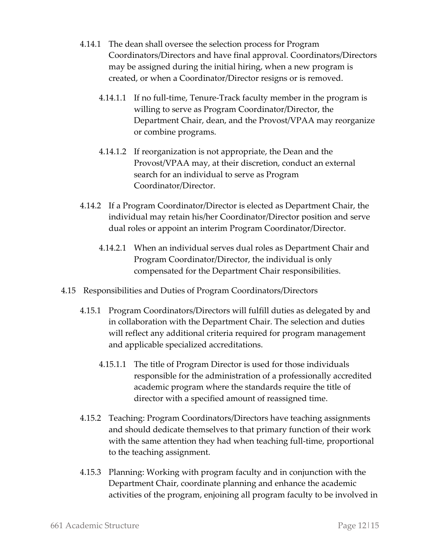- 4.14.1 The dean shall oversee the selection process for Program Coordinators/Directors and have final approval. Coordinators/Directors may be assigned during the initial hiring, when a new program is created, or when a Coordinator/Director resigns or is removed.
	- 4.14.1.1 If no full-time, Tenure-Track faculty member in the program is willing to serve as Program Coordinator/Director, the Department Chair, dean, and the Provost/VPAA may reorganize or combine programs.
	- 4.14.1.2 If reorganization is not appropriate, the Dean and the Provost/VPAA may, at their discretion, conduct an external search for an individual to serve as Program Coordinator/Director.
- 4.14.2 If a Program Coordinator/Director is elected as Department Chair, the individual may retain his/her Coordinator/Director position and serve dual roles or appoint an interim Program Coordinator/Director.
	- 4.14.2.1 When an individual serves dual roles as Department Chair and Program Coordinator/Director, the individual is only compensated for the Department Chair responsibilities.
- 4.15 Responsibilities and Duties of Program Coordinators/Directors
	- 4.15.1 Program Coordinators/Directors will fulfill duties as delegated by and in collaboration with the Department Chair. The selection and duties will reflect any additional criteria required for program management and applicable specialized accreditations.
		- 4.15.1.1 The title of Program Director is used for those individuals responsible for the administration of a professionally accredited academic program where the standards require the title of director with a specified amount of reassigned time.
	- 4.15.2 Teaching: Program Coordinators/Directors have teaching assignments and should dedicate themselves to that primary function of their work with the same attention they had when teaching full-time, proportional to the teaching assignment.
	- 4.15.3 Planning: Working with program faculty and in conjunction with the Department Chair, coordinate planning and enhance the academic activities of the program, enjoining all program faculty to be involved in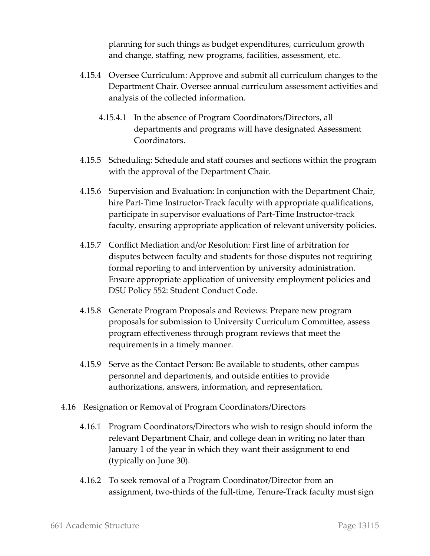planning for such things as budget expenditures, curriculum growth and change, staffing, new programs, facilities, assessment, etc.

- 4.15.4 Oversee Curriculum: Approve and submit all curriculum changes to the Department Chair. Oversee annual curriculum assessment activities and analysis of the collected information.
	- 4.15.4.1 In the absence of Program Coordinators/Directors, all departments and programs will have designated Assessment Coordinators.
- 4.15.5 Scheduling: Schedule and staff courses and sections within the program with the approval of the Department Chair.
- 4.15.6 Supervision and Evaluation: In conjunction with the Department Chair, hire Part-Time Instructor-Track faculty with appropriate qualifications, participate in supervisor evaluations of Part-Time Instructor-track faculty, ensuring appropriate application of relevant university policies.
- 4.15.7 Conflict Mediation and/or Resolution: First line of arbitration for disputes between faculty and students for those disputes not requiring formal reporting to and intervention by university administration. Ensure appropriate application of university employment policies and DSU Policy 552: Student Conduct Code.
- 4.15.8 Generate Program Proposals and Reviews: Prepare new program proposals for submission to University Curriculum Committee, assess program effectiveness through program reviews that meet the requirements in a timely manner.
- 4.15.9 Serve as the Contact Person: Be available to students, other campus personnel and departments, and outside entities to provide authorizations, answers, information, and representation.
- 4.16 Resignation or Removal of Program Coordinators/Directors
	- 4.16.1 Program Coordinators/Directors who wish to resign should inform the relevant Department Chair, and college dean in writing no later than January 1 of the year in which they want their assignment to end (typically on June 30).
	- 4.16.2 To seek removal of a Program Coordinator/Director from an assignment, two-thirds of the full-time, Tenure-Track faculty must sign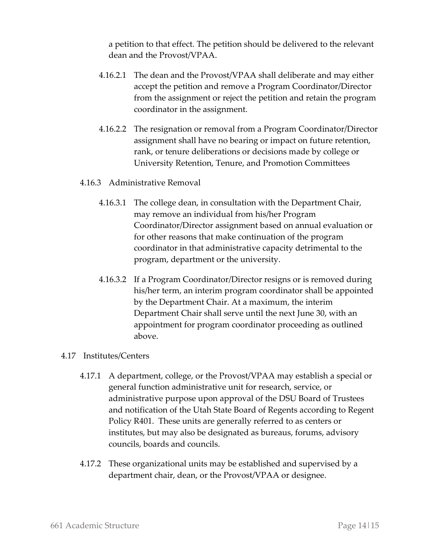a petition to that effect. The petition should be delivered to the relevant dean and the Provost/VPAA.

- 4.16.2.1 The dean and the Provost/VPAA shall deliberate and may either accept the petition and remove a Program Coordinator/Director from the assignment or reject the petition and retain the program coordinator in the assignment.
- 4.16.2.2 The resignation or removal from a Program Coordinator/Director assignment shall have no bearing or impact on future retention, rank, or tenure deliberations or decisions made by college or University Retention, Tenure, and Promotion Committees

#### 4.16.3 Administrative Removal

- 4.16.3.1 The college dean, in consultation with the Department Chair, may remove an individual from his/her Program Coordinator/Director assignment based on annual evaluation or for other reasons that make continuation of the program coordinator in that administrative capacity detrimental to the program, department or the university.
- 4.16.3.2 If a Program Coordinator/Director resigns or is removed during his/her term, an interim program coordinator shall be appointed by the Department Chair. At a maximum, the interim Department Chair shall serve until the next June 30, with an appointment for program coordinator proceeding as outlined above.

#### 4.17 Institutes/Centers

- 4.17.1 A department, college, or the Provost/VPAA may establish a special or general function administrative unit for research, service, or administrative purpose upon approval of the DSU Board of Trustees and notification of the Utah State Board of Regents according to Regent Policy R401. These units are generally referred to as centers or institutes, but may also be designated as bureaus, forums, advisory councils, boards and councils.
- 4.17.2 These organizational units may be established and supervised by a department chair, dean, or the Provost/VPAA or designee.